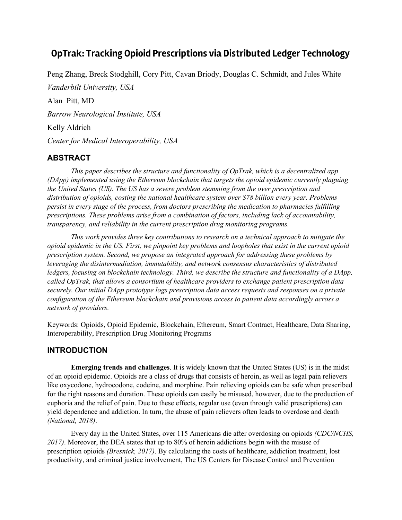# **OpTrak: Tracking Opioid Prescriptions via Distributed Ledger Technology**

Peng Zhang, Breck Stodghill, Cory Pitt, Cavan Briody, Douglas C. Schmidt, and Jules White *Vanderbilt University, USA* Alan Pitt, MD *Barrow Neurological Institute, USA*

Kelly Aldrich

*Center for Medical Interoperability, USA*

# **ABSTRACT**

*This paper describes the structure and functionality of OpTrak, which is a decentralized app (DApp) implemented using the Ethereum blockchain that targets the opioid epidemic currently plaguing the United States (US). The US has a severe problem stemming from the over prescription and distribution of opioids, costing the national healthcare system over \$78 billion every year. Problems persist in every stage of the process, from doctors prescribing the medication to pharmacies fulfilling prescriptions. These problems arise from a combination of factors, including lack of accountability, transparency, and reliability in the current prescription drug monitoring programs.*

*This work provides three key contributions to research on a technical approach to mitigate the* opioid epidemic in the US. First, we pinpoint key problems and loopholes that exist in the current opioid *prescription system. Second, we propose an integrated approach for addressing these problems by leveraging the disintermediation, immutability, and network consensus characteristics of distributed ledgers, focusing on blockchain technology. Third, we describe the structure and functionality of a DApp, called OpTrak, that allows a consortium of healthcare providers to exchange patient prescription data securely. Our initial DApp prototype logs prescription data access requests and responses on a private configuration of the Ethereum blockchain and provisions access to patient data accordingly across a network of providers.*

Keywords: Opioids, Opioid Epidemic, Blockchain, Ethereum, Smart Contract, Healthcare, Data Sharing, Interoperability, Prescription Drug Monitoring Programs

# **INTRODUCTION**

**Emerging trends and challenges**. It is widely known that the United States (US) is in the midst of an opioid epidemic. Opioids are a class of drugs that consists of heroin, as well as legal pain relievers like oxycodone, hydrocodone, codeine, and morphine. Pain relieving opioids can be safe when prescribed for the right reasons and duration. These opioids can easily be misused, however, due to the production of euphoria and the relief of pain. Due to these effects, regular use (even through valid prescriptions) can yield dependence and addiction. In turn, the abuse of pain relievers often leads to overdose and death *(National, 2018)*.

Every day in the United States, over 115 Americans die after overdosing on opioids *(CDC/NCHS, 2017)*. Moreover, the DEA states that up to 80% of heroin addictions begin with the misuse of prescription opioids *(Bresnick, 2017)*. By calculating the costs of healthcare, addiction treatment, lost productivity, and criminal justice involvement, The US Centers for Disease Control and Prevention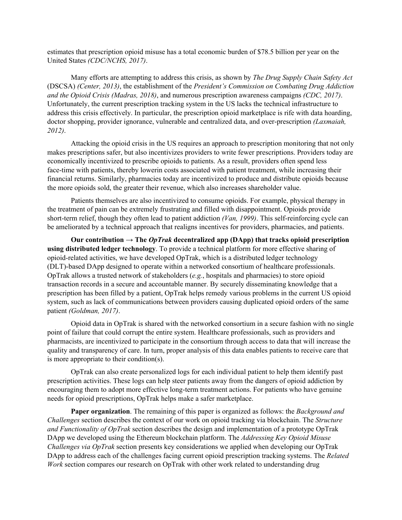estimates that prescription opioid misuse has a total economic burden of \$78.5 billion per year on the United States *(CDC/NCHS, 2017)*.

Many efforts are attempting to address this crisis, as shown by *The Drug Supply Chain Safety Act* (DSCSA) *(Center, 2013)*, the establishment of the *President's Commission on Combating Drug Addiction and the Opioid Crisis (Madras, 2018)*, and numerous prescription awareness campaigns *(CDC, 2017)*. Unfortunately, the current prescription tracking system in the US lacks the technical infrastructure to address this crisis effectively. In particular, the prescription opioid marketplace is rife with data hoarding, doctor shopping, provider ignorance, vulnerable and centralized data, and over-prescription *(Laxmaiah, 2012)*.

Attacking the opioid crisis in the US requires an approach to prescription monitoring that not only makes prescriptions safer, but also incentivizes providers to write fewer prescriptions. Providers today are economically incentivized to prescribe opioids to patients. As a result, providers often spend less face-time with patients, thereby lowerin costs associated with patient treatment, while increasing their financial returns. Similarly, pharmacies today are incentivized to produce and distribute opioids because the more opioids sold, the greater their revenue, which also increases shareholder value.

Patients themselves are also incentivized to consume opioids. For example, physical therapy in the treatment of pain can be extremely frustrating and filled with disappointment. Opioids provide short-term relief, though they often lead to patient addiction *(Van, 1999)*. This self-reinforcing cycle can be ameliorated by a technical approach that realigns incentives for providers, pharmacies, and patients.

**Our contribution → The** *OpTrak* **decentralized app (DApp) that tracks opioid prescription using distributed ledger technology**. To provide a technical platform for more effective sharing of opioid-related activities, we have developed OpTrak, which is a distributed ledger technology (DLT)-based DApp designed to operate within a networked consortium of healthcare professionals. OpTrak allows a trusted network of stakeholders (*e.g.*, hospitals and pharmacies) to store opioid transaction records in a secure and accountable manner. By securely disseminating knowledge that a prescription has been filled by a patient, OpTrak helps remedy various problems in the current US opioid system, such as lack of communications between providers causing duplicated opioid orders of the same patient *(Goldman, 2017)*.

Opioid data in OpTrak is shared with the networked consortium in a secure fashion with no single point of failure that could corrupt the entire system. Healthcare professionals, such as providers and pharmacists, are incentivized to participate in the consortium through access to data that will increase the quality and transparency of care. In turn, proper analysis of this data enables patients to receive care that is more appropriate to their condition(s).

OpTrak can also create personalized logs for each individual patient to help them identify past prescription activities. These logs can help steer patients away from the dangers of opioid addiction by encouraging them to adopt more effective long-term treatment actions. For patients who have genuine needs for opioid prescriptions, OpTrak helps make a safer marketplace.

**Paper organization**. The remaining of this paper is organized as follows: the *Background and Challenges* section describes the context of our work on opioid tracking via blockchain. The *Structure and Functionality of OpTrak* section describes the design and implementation of a prototype OpTrak DApp we developed using the Ethereum blockchain platform. The *Addressing Key Opioid Misuse Challenges via OpTrak* section presents key considerations we applied when developing our OpTrak DApp to address each of the challenges facing current opioid prescription tracking systems. The *Related Work* section compares our research on OpTrak with other work related to understanding drug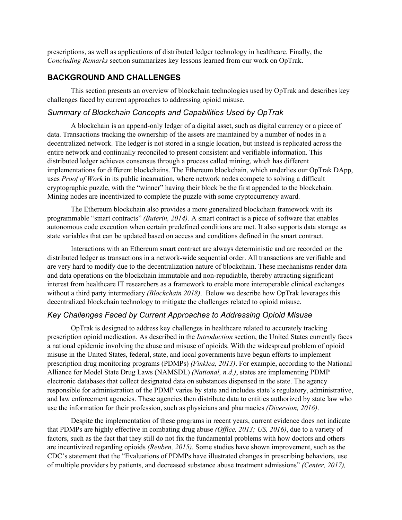prescriptions, as well as applications of distributed ledger technology in healthcare. Finally, the *Concluding Remarks* section summarizes key lessons learned from our work on OpTrak.

### **BACKGROUND AND CHALLENGES**

This section presents an overview of blockchain technologies used by OpTrak and describes key challenges faced by current approaches to addressing opioid misuse.

### *Summary of Blockchain Concepts and Capabilities Used by OpTrak*

A blockchain is an append-only ledger of a digital asset, such as digital currency or a piece of data. Transactions tracking the ownership of the assets are maintained by a number of nodes in a decentralized network. The ledger is not stored in a single location, but instead is replicated across the entire network and continually reconciled to present consistent and verifiable information. This distributed ledger achieves consensus through a process called mining, which has different implementations for different blockchains. The Ethereum blockchain, which underlies our OpTrak DApp, uses *Proof of Work* in its public incarnation, where network nodes compete to solving a difficult cryptographic puzzle, with the "winner" having their block be the first appended to the blockchain. Mining nodes are incentivized to complete the puzzle with some cryptocurrency award.

The Ethereum blockchain also provides a more generalized blockchain framework with its programmable "smart contracts" *(Buterin, 2014).* A smart contract is a piece of software that enables autonomous code execution when certain predefined conditions are met. It also supports data storage as state variables that can be updated based on access and conditions defined in the smart contract.

Interactions with an Ethereum smart contract are always deterministic and are recorded on the distributed ledger as transactions in a network-wide sequential order. All transactions are verifiable and are very hard to modify due to the decentralization nature of blockchain. These mechanisms render data and data operations on the blockchain immutable and non-repudiable, thereby attracting significant interest from healthcare IT researchers as a framework to enable more interoperable clinical exchanges without a third party intermediary *(Blockchain 2018)*. Below we describe how OpTrak leverages this decentralized blockchain technology to mitigate the challenges related to opioid misuse.

### *Key Challenges Faced by Current Approaches to Addressing Opioid Misuse*

OpTrak is designed to address key challenges in healthcare related to accurately tracking prescription opioid medication. As described in the *Introduction* section, the United States currently faces a national epidemic involving the abuse and misuse of opioids. With the widespread problem of opioid misuse in the United States, federal, state, and local governments have begun efforts to implement prescription drug monitoring programs (PDMPs) *(Finklea, 2013)*. For example, according to the National Alliance for Model State Drug Laws (NAMSDL) *(National, n.d.)*, states are implementing PDMP electronic databases that collect designated data on substances dispensed in the state. The agency responsible for administration of the PDMP varies by state and includes state's regulatory, administrative, and law enforcement agencies. These agencies then distribute data to entities authorized by state law who use the information for their profession, such as physicians and pharmacies *(Diversion, 2016)*.

Despite the implementation of these programs in recent years, current evidence does not indicate that PDMPs are highly effective in combating drug abuse *(Office, 2013; US, 2016)*, due to a variety of factors, such as the fact that they still do not fix the fundamental problems with how doctors and others are incentivized regarding opioids *(Reuben, 2015)*. Some studies have shown improvement, such as the CDC's statement that the "Evaluations of PDMPs have illustrated changes in prescribing behaviors, use of multiple providers by patients, and decreased substance abuse treatment admissions" *(Center, 2017),*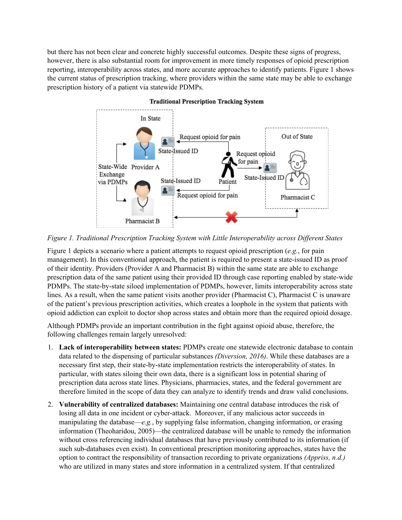but there has not been clear and concrete highly successful outcomes. Despite these signs of progress, however, there is also substantial room for improvement in more timely responses of opioid prescription reporting, interoperability across states, and more accurate approaches to identify patients. Figure 1 shows the current status of prescription tracking, where providers within the same state may be able to exchange prescription history of a patient via statewide PDMPs.



**Traditional Prescription Tracking System** 

*Figure 1. Traditional Prescription Tracking System with Little Interoperability across Dif erent States*

Figure 1 depicts a scenario where a patient attempts to request opioid prescription (*e.g.*, for pain management). In this conventional approach, the patient is required to present a state-issued ID as proof of their identity. Providers (Provider A and Pharmacist B) within the same state are able to exchange prescription data of the same patient using their provided ID through case reporting enabled by state-wide PDMPs. The state-by-state siloed implementation of PDMPs, however, limits interoperability across state lines. As a result, when the same patient visits another provider (Pharmacist C), Pharmacist C is unaware of the patient's previous prescription activities, which creates a loophole in the system that patients with opioid addiction can exploit to doctor shop across states and obtain more than the required opioid dosage.

Although PDMPs provide an important contribution in the fight against opioid abuse, therefore, the following challenges remain largely unresolved:

- 1. **Lack of interoperability between states:** PDMPs create one statewide electronic database to contain data related to the dispensing of particular substances *(Diversion, 2016)*. While these databases are a necessary first step, their state-by-state implementation restricts the interoperability of states. In particular, with states siloing their own data, there is a significant loss in potential sharing of prescription data across state lines. Physicians, pharmacies, states, and the federal government are therefore limited in the scope of data they can analyze to identify trends and draw valid conclusions.
- 2. **Vulnerability of centralized databases:** Maintaining one central database introduces the risk of losing all data in one incident or cyber-attack. Moreover, if any malicious actor succeeds in manipulating the database—*e.g.*, by supplying false information, changing information, or erasing information (Theoharidou, 2005)—the centralized database will be unable to remedy the information without cross referencing individual databases that have previously contributed to its information (if such sub-databases even exist). In conventional prescription monitoring approaches, states have the option to contract the responsibility of transaction recording to private organizations *(Appriss, n.d.)* who are utilized in many states and store information in a centralized system. If that centralized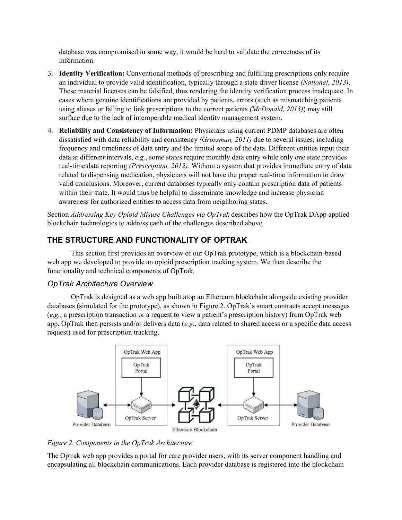database was compromised in some way, it would be hard to validate the correctness of its information.

- 3. **Identity Verification:** Conventional methods of prescribing and fulfilling prescriptions only require an individual to provide valid identification, typically through a state driver license *(National, 2013)*. These material licenses can be falsified, thus rendering the identity verification process inadequate. In cases where genuine identifications are provided by patients, errors (such as mismatching patients using aliases or failing to link prescriptions to the correct patients *(McDonald, 2013)*) may still surface due to the lack of interoperable medical identity management system.
- 4. **Reliability and Consistency of Information:** Physicians using current PDMP databases are often dissatisfied with data reliability and consistency *(Grossman, 2011)* due to several issues, including frequency and timeliness of data entry and the limited scope of the data. Different entities input their data at different intervals, *e.g.*, some states require monthly data entry while only one state provides real-time data reporting *(Prescription, 2012)*. Without a system that provides immediate entry of data related to dispensing medication, physicians will not have the proper real-time information to draw valid conclusions. Moreover, current databases typically only contain prescription data of patients within their state. It would thus be helpful to disseminate knowledge and increase physician awareness for authorized entities to access data from neighboring states.

Section *Addressing Key Opioid Misuse Challenges via OpTrak* describes how the OpTrak DApp applied blockchain technologies to address each of the challenges described above.

# **THE STRUCTURE AND FUNCTIONALITY OF OPTRAK**

This section first provides an overview of our OpTrak prototype, which is a blockchain-based web app we developed to provide an opioid prescription tracking system. We then describe the functionality and technical components of OpTrak.

# *OpTrak Architecture Overview*

OpTrak is designed as a web app built atop an Ethereum blockchain alongside existing provider databases (simulated for the prototype), as shown in Figure 2. OpTrak's smart contracts accept messages (*e.g.*, a prescription transaction or a request to view a patient's prescription history) from OpTrak web app. OpTrak then persists and/or delivers data (*e.g.*, data related to shared access or a specific data access request) used for prescription tracking.



*Figure 2. Components in the OpTrak Architecture*

The Optrak web app provides a portal for care provider users, with its server component handling and encapsulating all blockchain communications. Each provider database is registered into the blockchain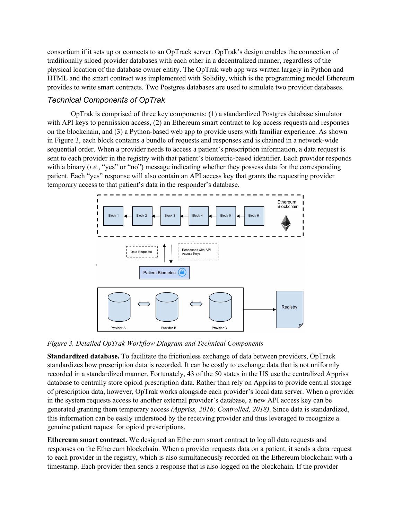consortium if it sets up or connects to an OpTrack server. OpTrak's design enables the connection of traditionally siloed provider databases with each other in a decentralized manner, regardless of the physical location of the database owner entity. The OpTrak web app was written largely in Python and HTML and the smart contract was implemented with Solidity, which is the programming model Ethereum provides to write smart contracts. Two Postgres databases are used to simulate two provider databases.

# *Technical Components of OpTrak*

OpTrak is comprised of three key components: (1) a standardized Postgres database simulator with API keys to permission access, (2) an Ethereum smart contract to log access requests and responses on the blockchain, and (3) a Python-based web app to provide users with familiar experience. As shown in Figure 3, each block contains a bundle of requests and responses and is chained in a network-wide sequential order. When a provider needs to access a patient's prescription information, a data request is sent to each provider in the registry with that patient's biometric-based identifier. Each provider responds with a binary (*i.e.*, "yes" or "no") message indicating whether they possess data for the corresponding patient. Each "yes" response will also contain an API access key that grants the requesting provider temporary access to that patient's data in the responder's database.



*Figure 3. Detailed OpTrak Workflow Diagram and Technical Components*

**Standardized database.** To facilitate the frictionless exchange of data between providers, OpTrack standardizes how prescription data is recorded. It can be costly to exchange data that is not uniformly recorded in a standardized manner. Fortunately, 43 of the 50 states in the US use the centralized Appriss database to centrally store opioid prescription data. Rather than rely on Appriss to provide central storage of prescription data, however, OpTrak works alongside each provider's local data server. When a provider in the system requests access to another external provider's database, a new API access key can be generated granting them temporary access *(Appriss, 2016; Controlled, 2018)*. Since data is standardized, this information can be easily understood by the receiving provider and thus leveraged to recognize a genuine patient request for opioid prescriptions.

**Ethereum smart contract.** We designed an Ethereum smart contract to log all data requests and responses on the Ethereum blockchain. When a provider requests data on a patient, it sends a data request to each provider in the registry, which is also simultaneously recorded on the Ethereum blockchain with a timestamp. Each provider then sends a response that is also logged on the blockchain. If the provider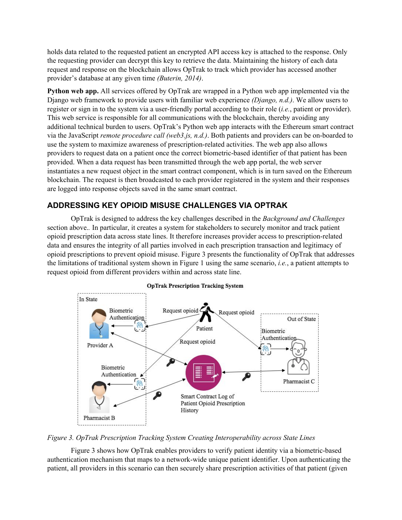holds data related to the requested patient an encrypted API access key is attached to the response. Only the requesting provider can decrypt this key to retrieve the data. Maintaining the history of each data request and response on the blockchain allows OpTrak to track which provider has accessed another provider's database at any given time *(Buterin, 2014)*.

**Python web app.** All services offered by OpTrak are wrapped in a Python web app implemented via the Django web framework to provide users with familiar web experience *(Django, n.d.)*. We allow users to register or sign in to the system via a user-friendly portal according to their role (*i.e.*, patient or provider). This web service is responsible for all communications with the blockchain, thereby avoiding any additional technical burden to users. OpTrak's Python web app interacts with the Ethereum smart contract via the JavaScript *remote procedure call (web3.js, n.d.)*. Both patients and providers can be on-boarded to use the system to maximize awareness of prescription-related activities. The web app also allows providers to request data on a patient once the correct biometric-based identifier of that patient has been provided. When a data request has been transmitted through the web app portal, the web server instantiates a new request object in the smart contract component, which is in turn saved on the Ethereum blockchain. The request is then broadcasted to each provider registered in the system and their responses are logged into response objects saved in the same smart contract.

# **ADDRESSING KEY OPIOID MISUSE CHALLENGES VIA OPTRAK**

OpTrak is designed to address the key challenges described in the *Background and Challenges* section above.*.* In particular, it creates a system for stakeholders to securely monitor and track patient opioid prescription data across state lines. It therefore increases provider access to prescription-related data and ensures the integrity of all parties involved in each prescription transaction and legitimacy of opioid prescriptions to prevent opioid misuse. Figure 3 presents the functionality of OpTrak that addresses the limitations of traditional system shown in Figure 1 using the same scenario, *i.e.*, a patient attempts to request opioid from different providers within and across state line.



#### **OpTrak Prescription Tracking System**

*Figure 3. OpTrak Prescription Tracking System Creating Interoperability across State Lines*

Figure 3 shows how OpTrak enables providers to verify patient identity via a biometric-based authentication mechanism that maps to a network-wide unique patient identifier. Upon authenticating the patient, all providers in this scenario can then securely share prescription activities of that patient (given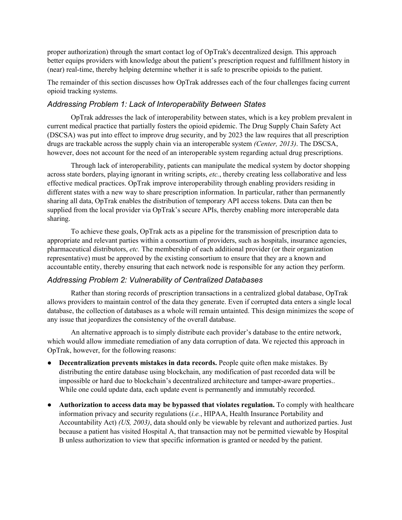proper authorization) through the smart contact log of OpTrak's decentralized design. This approach better equips providers with knowledge about the patient's prescription request and fulfillment history in (near) real-time, thereby helping determine whether it is safe to prescribe opioids to the patient.

The remainder of this section discusses how OpTrak addresses each of the four challenges facing current opioid tracking systems.

### *Addressing Problem 1: Lack of Interoperability Between States*

OpTrak addresses the lack of interoperability between states, which is a key problem prevalent in current medical practice that partially fosters the opioid epidemic. The Drug Supply Chain Safety Act (DSCSA) was put into effect to improve drug security, and by 2023 the law requires that all prescription drugs are trackable across the supply chain via an interoperable system *(Center, 2013)*. The DSCSA, however, does not account for the need of an interoperable system regarding actual drug prescriptions.

Through lack of interoperability, patients can manipulate the medical system by doctor shopping across state borders, playing ignorant in writing scripts, *etc.*, thereby creating less collaborative and less effective medical practices. OpTrak improve interoperability through enabling providers residing in different states with a new way to share prescription information. In particular, rather than permanently sharing all data, OpTrak enables the distribution of temporary API access tokens. Data can then be supplied from the local provider via OpTrak's secure APIs, thereby enabling more interoperable data sharing.

To achieve these goals, OpTrak acts as a pipeline for the transmission of prescription data to appropriate and relevant parties within a consortium of providers, such as hospitals, insurance agencies, pharmaceutical distributors, *etc.* The membership of each additional provider (or their organization representative) must be approved by the existing consortium to ensure that they are a known and accountable entity, thereby ensuring that each network node is responsible for any action they perform.

### *Addressing Problem 2: Vulnerability of Centralized Databases*

Rather than storing records of prescription transactions in a centralized global database, OpTrak allows providers to maintain control of the data they generate. Even if corrupted data enters a single local database, the collection of databases as a whole will remain untainted. This design minimizes the scope of any issue that jeopardizes the consistency of the overall database.

An alternative approach is to simply distribute each provider's database to the entire network, which would allow immediate remediation of any data corruption of data. We rejected this approach in OpTrak, however, for the following reasons:

- **Decentralization prevents mistakes in data records.** People quite often make mistakes. By distributing the entire database using blockchain, any modification of past recorded data will be impossible or hard due to blockchain's decentralized architecture and tamper-aware properties.. While one could update data, each update event is permanently and immutably recorded.
- **Authorization to access data may be bypassed that violates regulation.** To comply with healthcare information privacy and security regulations (*i.e.*, HIPAA, Health Insurance Portability and Accountability Act) *(US, 2003)*, data should only be viewable by relevant and authorized parties. Just because a patient has visited Hospital A, that transaction may not be permitted viewable by Hospital B unless authorization to view that specific information is granted or needed by the patient.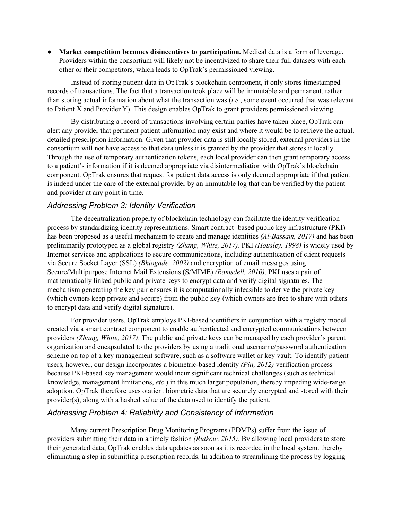● **Market competition becomes disincentives to participation.** Medical data is a form of leverage. Providers within the consortium will likely not be incentivized to share their full datasets with each other or their competitors, which leads to OpTrak's permissioned viewing.

Instead of storing patient data in OpTrak's blockchain component, it only stores timestamped records of transactions. The fact that a transaction took place will be immutable and permanent, rather than storing actual information about what the transaction was (*i.e.*, some event occurred that was relevant to Patient X and Provider Y). This design enables OpTrak to grant providers permissioned viewing.

By distributing a record of transactions involving certain parties have taken place, OpTrak can alert any provider that pertinent patient information may exist and where it would be to retrieve the actual, detailed prescription information. Given that provider data is still locally stored, external providers in the consortium will not have access to that data unless it is granted by the provider that stores it locally. Through the use of temporary authentication tokens, each local provider can then grant temporary access to a patient's information if it is deemed appropriate via disintermediation with OpTrak's blockchain component. OpTrak ensures that request for patient data access is only deemed appropriate if that patient is indeed under the care of the external provider by an immutable log that can be verified by the patient and provider at any point in time.

## *Addressing Problem 3: Identity Verification*

The decentralization property of blockchain technology can facilitate the identity verification process by standardizing identity representations. Smart contract=based public key infrastructure (PKI) has been proposed as a useful mechanism to create and manage identities *(Al-Bassam, 2017)* and has been preliminarily prototyped as a global registry *(Zhang, White, 2017)*. PKI *(Housley, 1998)* is widely used by Internet services and applications to secure communications, including authentication of client requests via Secure Socket Layer (SSL) *(Bhiogade, 2002)* and encryption of email messages using Secure/Multipurpose Internet Mail Extensions (S/MIME) *(Ramsdell, 2010)*. PKI uses a pair of mathematically linked public and private keys to encrypt data and verify digital signatures. The mechanism generating the key pair ensures it is computationally infeasible to derive the private key (which owners keep private and secure) from the public key (which owners are free to share with others to encrypt data and verify digital signature).

For provider users, OpTrak employs PKI-based identifiers in conjunction with a registry model created via a smart contract component to enable authenticated and encrypted communications between providers *(Zhang, White, 2017)*. The public and private keys can be managed by each provider's parent organization and encapsulated to the providers by using a traditional username/password authentication scheme on top of a key management software, such as a software wallet or key vault. To identify patient users, however, our design incorporates a biometric-based identity *(Pitt, 2012)* verification process because PKI-based key management would incur significant technical challenges (such as technical knowledge, management limitations, *etc*.) in this much larger population, thereby impeding wide-range adoption. OpTrak therefore uses otatient biometric data that are securely encrypted and stored with their provider(s), along with a hashed value of the data used to identify the patient.

### *Addressing Problem 4: Reliability and Consistency of Information*

Many current Prescription Drug Monitoring Programs (PDMPs) suffer from the issue of providers submitting their data in a timely fashion *(Rutkow, 2015)*. By allowing local providers to store their generated data, OpTrak enables data updates as soon as it is recorded in the local system. thereby eliminating a step in submitting prescription records. In addition to streamlining the process by logging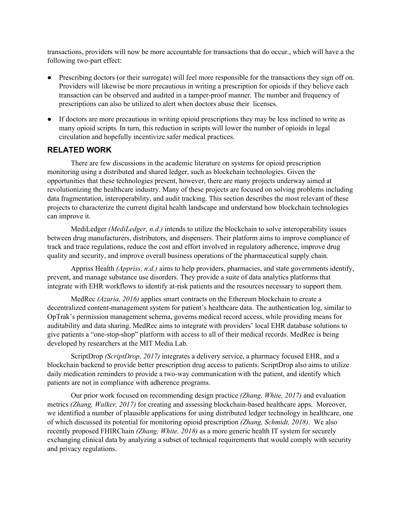transactions, providers will now be more accountable for transactions that do occur., which will have a the following two-part effect:

- Prescribing doctors (or their surrogate) will feel more responsible for the transactions they sign off on. Providers will likewise be more precautious in writing a prescription for opioids if they believe each transaction can be observed and audited in a tamper-proof manner. The number and frequency of prescriptions can also be utilized to alert when doctors abuse their licenses.
- If doctors are more precautious in writing opioid prescriptions they may be less inclined to write as many opioid scripts. In turn, this reduction in scripts will lower the number of opioids in legal circulation and hopefully incentivize safer medical practices.

## **RELATED WORK**

There are few discussions in the academic literature on systems for opioid prescription monitoring using a distributed and shared ledger, such as blockchain technologies. Given the opportunities that these technologies present, however, there are many projects underway aimed at revolutionizing the healthcare industry. Many of these projects are focused on solving problems including data fragmentation, interoperability, and audit tracking. This section describes the most relevant of these projects to characterize the current digital health landscape and understand how blockchain technologies can improve it.

MediLedger *(MediLedger, n.d.)* intends to utilize the blockchain to solve interoperability issues between drug manufacturers, distributors, and dispensers. Their platform aims to improve compliance of track and trace regulations, reduce the cost and effort involved in regulatory adherence, improve drug quality and security, and improve overall business operations of the pharmaceutical supply chain.

Appriss Health *(Appriss, n.d.)* aims to help providers, pharmacies, and state governments identify, prevent, and manage substance use disorders. They provide a suite of data analytics platforms that integrate with EHR workflows to identify at-risk patients and the resources necessary to support them.

MedRec *(Azaria, 2016)* applies smart contracts on the Ethereum blockchain to create a decentralized content-management system for patient's healthcare data. The authentication log, similar to OpTrak's permission management schema, governs medical record access, while providing means for auditability and data sharing. MedRec aims to integrate with providers' local EHR database solutions to give patients a "one-stop-shop" platform with access to all of their medical records. MedRec is being developed by researchers at the MIT Media Lab.

ScriptDrop *(ScriptDrop, 2017)* integrates a delivery service, a pharmacy focused EHR, and a blockchain backend to provide better prescription drug access to patients. ScriptDrop also aims to utilize daily medication reminders to provide a two-way communication with the patient, and identify which patients are not in compliance with adherence programs.

Our prior work focused on recommending design practice *(Zhang, White, 2017)* and evaluation metrics *(Zhang, Walker, 2017)* for creating and assessing blockchain-based healthcare apps. Moreover, we identified a number of plausible applications for using distributed ledger technology in healthcare, one of which discussed its potential for monitoring opioid prescription *(Zhang, Schmidt, 2018)*. We also recently proposed FHIRChain *(Zhang, White, 2018)* as a more generic health IT system for securely exchanging clinical data by analyzing a subset of technical requirements that would comply with security and privacy regulations.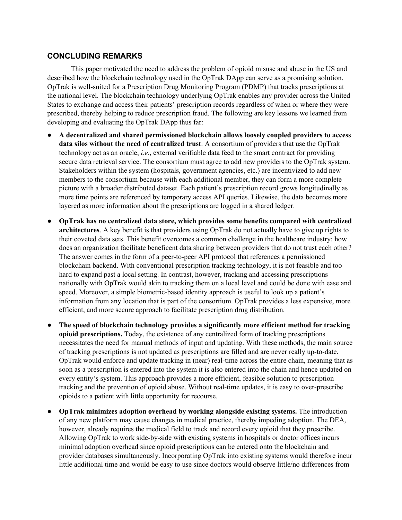## **CONCLUDING REMARKS**

This paper motivated the need to address the problem of opioid misuse and abuse in the US and described how the blockchain technology used in the OpTrak DApp can serve as a promising solution. OpTrak is well-suited for a Prescription Drug Monitoring Program (PDMP) that tracks prescriptions at the national level. The blockchain technology underlying OpTrak enables any provider across the United States to exchange and access their patients' prescription records regardless of when or where they were prescribed, thereby helping to reduce prescription fraud. The following are key lessons we learned from developing and evaluating the OpTrak DApp thus far:

- **A decentralized and shared permissioned blockchain allows loosely coupled providers to access data silos without the need of centralized trust**. A consortium of providers that use the OpTrak technology act as an oracle, *i.e.*, external verifiable data feed to the smart contract for providing secure data retrieval service. The consortium must agree to add new providers to the OpTrak system. Stakeholders within the system (hospitals, government agencies, etc.) are incentivized to add new members to the consortium because with each additional member, they can form a more complete picture with a broader distributed dataset. Each patient's prescription record grows longitudinally as more time points are referenced by temporary access API queries. Likewise, the data becomes more layered as more information about the prescriptions are logged in a shared ledger.
- **OpTrak has no centralized data store, which provides some benefits compared with centralized architectures**. A key benefit is that providers using OpTrak do not actually have to give up rights to their coveted data sets. This benefit overcomes a common challenge in the healthcare industry: how does an organization facilitate beneficent data sharing between providers that do not trust each other? The answer comes in the form of a peer-to-peer API protocol that references a permissioned blockchain backend. With conventional prescription tracking technology, it is not feasible and too hard to expand past a local setting. In contrast, however, tracking and accessing prescriptions nationally with OpTrak would akin to tracking them on a local level and could be done with ease and speed. Moreover, a simple biometric-based identity approach is useful to look up a patient's information from any location that is part of the consortium. OpTrak provides a less expensive, more efficient, and more secure approach to facilitate prescription drug distribution.
- **The speed of blockchain technology provides a significantly more efficient method for tracking opioid prescriptions.** Today, the existence of any centralized form of tracking prescriptions necessitates the need for manual methods of input and updating. With these methods, the main source of tracking prescriptions is not updated as prescriptions are filled and are never really up-to-date. OpTrak would enforce and update tracking in (near) real-time across the entire chain, meaning that as soon as a prescription is entered into the system it is also entered into the chain and hence updated on every entity's system. This approach provides a more efficient, feasible solution to prescription tracking and the prevention of opioid abuse. Without real-time updates, it is easy to over-prescribe opioids to a patient with little opportunity for recourse.
- **OpTrak minimizes adoption overhead by working alongside existing systems.** The introduction of any new platform may cause changes in medical practice, thereby impeding adoption. The DEA, however, already requires the medical field to track and record every opioid that they prescribe. Allowing OpTrak to work side-by-side with existing systems in hospitals or doctor offices incurs minimal adoption overhead since opioid prescriptions can be entered onto the blockchain and provider databases simultaneously. Incorporating OpTrak into existing systems would therefore incur little additional time and would be easy to use since doctors would observe little/no differences from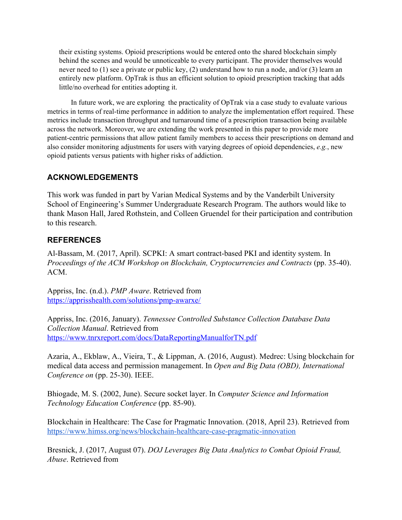their existing systems. Opioid prescriptions would be entered onto the shared blockchain simply behind the scenes and would be unnoticeable to every participant. The provider themselves would never need to (1) see a private or public key, (2) understand how to run a node, and/or (3) learn an entirely new platform. OpTrak is thus an efficient solution to opioid prescription tracking that adds little/no overhead for entities adopting it.

In future work, we are exploring the practicality of OpTrak via a case study to evaluate various metrics in terms of real-time performance in addition to analyze the implementation effort required. These metrics include transaction throughput and turnaround time of a prescription transaction being available across the network. Moreover, we are extending the work presented in this paper to provide more patient-centric permissions that allow patient family members to access their prescriptions on demand and also consider monitoring adjustments for users with varying degrees of opioid dependencies, *e.g.*, new opioid patients versus patients with higher risks of addiction.

# **ACKNOWLEDGEMENTS**

This work was funded in part by Varian Medical Systems and by the Vanderbilt University School of Engineering's Summer Undergraduate Research Program. The authors would like to thank Mason Hall, Jared Rothstein, and Colleen Gruendel for their participation and contribution to this research.

# **REFERENCES**

Al-Bassam, M. (2017, April). SCPKI: A smart contract-based PKI and identity system. In *Proceedings of the ACM Workshop on Blockchain, Cryptocurrencies and Contracts (pp. 35-40).* ACM.

Appriss, Inc. (n.d.). *PMP Aware*. Retrieved from <https://apprisshealth.com/solutions/pmp-awarxe/>

Appriss, Inc. (2016, January). *Tennessee Controlled Substance Collection Database Data Collection Manual*. Retrieved from <https://www.tnrxreport.com/docs/DataReportingManualforTN.pdf>

Azaria, A., Ekblaw, A., Vieira, T., & Lippman, A. (2016, August). Medrec: Using blockchain for medical data access and permission management. In *Open and Big Data (OBD), International Conference on* (pp. 25-30). IEEE.

Bhiogade, M. S. (2002, June). Secure socket layer. In *Computer Science and Information Technology Education Conference* (pp. 85-90).

Blockchain in Healthcare: The Case for Pragmatic Innovation. (2018, April 23). Retrieved from <https://www.himss.org/news/blockchain-healthcare-case-pragmatic-innovation>

Bresnick, J. (2017, August 07). *DOJ Leverages Big Data Analytics to Combat Opioid Fraud, Abuse*. Retrieved from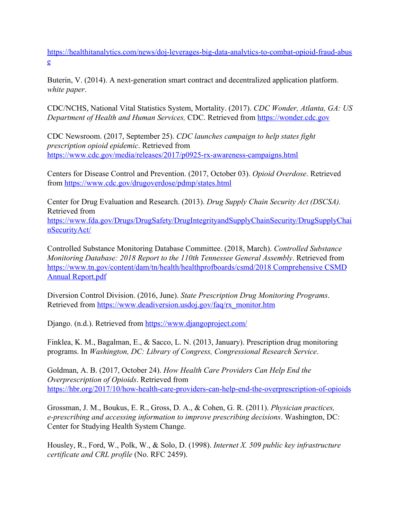[https://healthitanalytics.com/news/doj-leverages-big-data-analytics-to-combat-opioid-fraud-abus](https://healthitanalytics.com/news/doj-leverages-big-data-analytics-to-combat-opioid-fraud-abuse) [e](https://healthitanalytics.com/news/doj-leverages-big-data-analytics-to-combat-opioid-fraud-abuse)

Buterin, V. (2014). A next-generation smart contract and decentralized application platform. *white paper*.

CDC/NCHS, National Vital Statistics System, Mortality. (2017). *CDC Wonder, Atlanta, GA: US Department of Health and Human Services,* CDC. Retrieved from [https://wonder.cdc.gov](https://wonder.cdc.gov/)

CDC Newsroom. (2017, September 25). *CDC launches campaign to help states fight prescription opioid epidemic*. Retrieved from <https://www.cdc.gov/media/releases/2017/p0925-rx-awareness-campaigns.html>

Centers for Disease Control and Prevention. (2017, October 03). *Opioid Overdose*. Retrieved from<https://www.cdc.gov/drugoverdose/pdmp/states.html>

Center for Drug Evaluation and Research. (2013). *Drug Supply Chain Security Act (DSCSA).* Retrieved from [https://www.fda.gov/Drugs/DrugSafety/DrugIntegrityandSupplyChainSecurity/DrugSupplyChai](https://www.fda.gov/Drugs/DrugSafety/DrugIntegrityandSupplyChainSecurity/DrugSupplyChainSecurityAct/) [nSecurityAct/](https://www.fda.gov/Drugs/DrugSafety/DrugIntegrityandSupplyChainSecurity/DrugSupplyChainSecurityAct/)

Controlled Substance Monitoring Database Committee. (2018, March). *Controlled Substance Monitoring Database: 2018 Report to the 110th Tennessee General Assembly*. Retrieved from [https://www.tn.gov/content/dam/tn/health/healthprofboards/csmd/2018 Comprehensive CSMD](https://www.tn.gov/content/dam/tn/health/healthprofboards/csmd/2018%20Comprehensive%20CSMD%20Annual%20Report.pdf) [Annual Report.pdf](https://www.tn.gov/content/dam/tn/health/healthprofboards/csmd/2018%20Comprehensive%20CSMD%20Annual%20Report.pdf)

Diversion Control Division. (2016, June). *State Prescription Drug Monitoring Programs*. Retrieved from [https://www.deadiversion.usdoj.gov/faq/rx\\_monitor.htm](https://www.deadiversion.usdoj.gov/faq/rx_monitor.htm)

Django. (n.d.). Retrieved from<https://www.djangoproject.com/>

Finklea, K. M., Bagalman, E., & Sacco, L. N. (2013, January). Prescription drug monitoring programs. In *Washington, DC: Library of Congress, Congressional Research Service*.

Goldman, A. B. (2017, October 24). *How Health Care Providers Can Help End the Overprescription of Opioids*. Retrieved from <https://hbr.org/2017/10/how-health-care-providers-can-help-end-the-overprescription-of-opioids>

Grossman, J. M., Boukus, E. R., Gross, D. A., & Cohen, G. R. (2011). *Physician practices, e-prescribing and accessing information to improve prescribing decisions*. Washington, DC: Center for Studying Health System Change.

Housley, R., Ford, W., Polk, W., & Solo, D. (1998). *Internet X. 509 public key infrastructure certificate and CRL profile* (No. RFC 2459).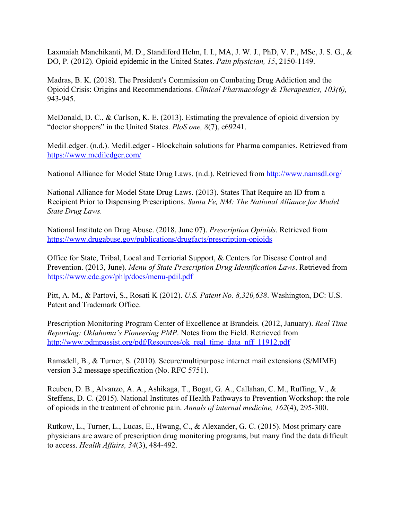Laxmaiah Manchikanti, M. D., Standiford Helm, I. I., MA, J. W. J., PhD, V. P., MSc, J. S. G., & DO, P. (2012). Opioid epidemic in the United States. *Pain physician, 15*, 2150-1149.

Madras, B. K. (2018). The President's Commission on Combating Drug Addiction and the Opioid Crisis: Origins and Recommendations. *Clinical Pharmacology & Therapeutics, 103(6),* 943-945.

McDonald, D. C., & Carlson, K. E. (2013). Estimating the prevalence of opioid diversion by "doctor shoppers" in the United States. *PloS one, 8*(7), e69241.

MediLedger. (n.d.). MediLedger - Blockchain solutions for Pharma companies. Retrieved from <https://www.mediledger.com/>

National Alliance for Model State Drug Laws. (n.d.). Retrieved from <http://www.namsdl.org/>

National Alliance for Model State Drug Laws. (2013). States That Require an ID from a Recipient Prior to Dispensing Prescriptions. *Santa Fe, NM: The National Alliance for Model State Drug Laws.*

National Institute on Drug Abuse. (2018, June 07). *Prescription Opioids*. Retrieved from <https://www.drugabuse.gov/publications/drugfacts/prescription-opioids>

Office for State, Tribal, Local and Terriorial Support, & Centers for Disease Control and Prevention. (2013, June). *Menu of State Prescription Drug Identification Laws*. Retrieved from <https://www.cdc.gov/phlp/docs/menu-pdil.pdf>

Pitt, A. M., & Partovi, S., Rosati K (2012). *U.S. Patent No. 8,320,638*. Washington, DC: U.S. Patent and Trademark Office.

Prescription Monitoring Program Center of Excellence at Brandeis. (2012, January). *Real Time Reporting: Oklahoma's Pioneering PMP*. Notes from the Field. Retrieved from [http://www.pdmpassist.org/pdf/Resources/ok\\_real\\_time\\_data\\_nff\\_11912.pdf](http://www.pdmpassist.org/pdf/Resources/ok_real_time_data_nff_11912.pdf)

Ramsdell, B., & Turner, S. (2010). Secure/multipurpose internet mail extensions (S/MIME) version 3.2 message specification (No. RFC 5751).

Reuben, D. B., Alvanzo, A. A., Ashikaga, T., Bogat, G. A., Callahan, C. M., Ruffing, V., & Steffens, D. C. (2015). National Institutes of Health Pathways to Prevention Workshop: the role of opioids in the treatment of chronic pain. *Annals of internal medicine, 162*(4), 295-300.

Rutkow, L., Turner, L., Lucas, E., Hwang, C., & Alexander, G. C. (2015). Most primary care physicians are aware of prescription drug monitoring programs, but many find the data difficult to access. *Health Affairs, 34*(3), 484-492.